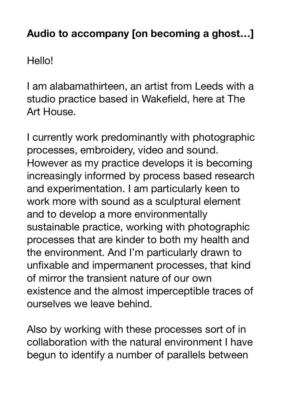## **Audio to accompany [on becoming a ghost…]**

Hello!

I am alabamathirteen, an artist from Leeds with a studio practice based in Wakefield, here at The Art House.

I currently work predominantly with photographic processes, embroidery, video and sound. However as my practice develops it is becoming increasingly informed by process based research and experimentation. I am particularly keen to work more with sound as a sculptural element and to develop a more environmentally sustainable practice, working with photographic processes that are kinder to both my health and the environment. And I'm particularly drawn to unfixable and impermanent processes, that kind of mirror the transient nature of our own existence and the almost imperceptible traces of ourselves we leave behind.

Also by working with these processes sort of in collaboration with the natural environment I have begun to identify a number of parallels between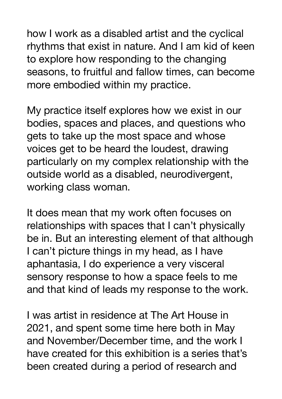how I work as a disabled artist and the cyclical rhythms that exist in nature. And I am kid of keen to explore how responding to the changing seasons, to fruitful and fallow times, can become more embodied within my practice.

My practice itself explores how we exist in our bodies, spaces and places, and questions who gets to take up the most space and whose voices get to be heard the loudest, drawing particularly on my complex relationship with the outside world as a disabled, neurodivergent, working class woman.

It does mean that my work often focuses on relationships with spaces that I can't physically be in. But an interesting element of that although I can't picture things in my head, as I have aphantasia, I do experience a very visceral sensory response to how a space feels to me and that kind of leads my response to the work.

I was artist in residence at The Art House in 2021, and spent some time here both in May and November/December time, and the work I have created for this exhibition is a series that's been created during a period of research and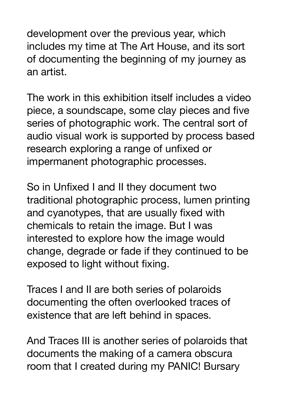development over the previous year, which includes my time at The Art House, and its sort of documenting the beginning of my journey as an artist.

The work in this exhibition itself includes a video piece, a soundscape, some clay pieces and five series of photographic work. The central sort of audio visual work is supported by process based research exploring a range of unfixed or impermanent photographic processes.

So in Unfixed I and II they document two traditional photographic process, lumen printing and cyanotypes, that are usually fixed with chemicals to retain the image. But I was interested to explore how the image would change, degrade or fade if they continued to be exposed to light without fixing.

Traces I and II are both series of polaroids documenting the often overlooked traces of existence that are left behind in spaces.

And Traces III is another series of polaroids that documents the making of a camera obscura room that I created during my PANIC! Bursary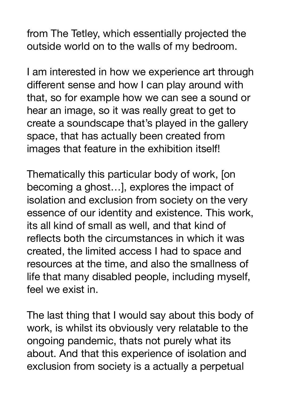from The Tetley, which essentially projected the outside world on to the walls of my bedroom.

I am interested in how we experience art through different sense and how I can play around with that, so for example how we can see a sound or hear an image, so it was really great to get to create a soundscape that's played in the gallery space, that has actually been created from images that feature in the exhibition itself!

Thematically this particular body of work, [on becoming a ghost…], explores the impact of isolation and exclusion from society on the very essence of our identity and existence. This work, its all kind of small as well, and that kind of reflects both the circumstances in which it was created, the limited access I had to space and resources at the time, and also the smallness of life that many disabled people, including myself, feel we exist in.

The last thing that I would say about this body of work, is whilst its obviously very relatable to the ongoing pandemic, thats not purely what its about. And that this experience of isolation and exclusion from society is a actually a perpetual